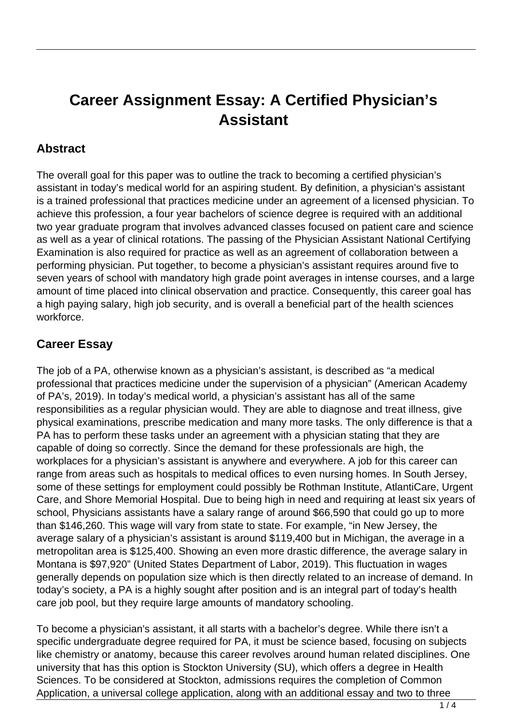## **Career Assignment Essay: A Certified Physician's Assistant**

## **Abstract**

The overall goal for this paper was to outline the track to becoming a certified physician's assistant in today's medical world for an aspiring student. By definition, a physician's assistant is a trained professional that practices medicine under an agreement of a licensed physician. To achieve this profession, a four year bachelors of science degree is required with an additional two year graduate program that involves advanced classes focused on patient care and science as well as a year of clinical rotations. The passing of the Physician Assistant National Certifying Examination is also required for practice as well as an agreement of collaboration between a performing physician. Put together, to become a physician's assistant requires around five to seven years of school with mandatory high grade point averages in intense courses, and a large amount of time placed into clinical observation and practice. Consequently, this career goal has a high paying salary, high job security, and is overall a beneficial part of the health sciences workforce.

## **Career Essay**

The job of a PA, otherwise known as a physician's assistant, is described as "a medical professional that practices medicine under the supervision of a physician" (American Academy of PA's, 2019). In today's medical world, a physician's assistant has all of the same responsibilities as a regular physician would. They are able to diagnose and treat illness, give physical examinations, prescribe medication and many more tasks. The only difference is that a PA has to perform these tasks under an agreement with a physician stating that they are capable of doing so correctly. Since the demand for these professionals are high, the workplaces for a physician's assistant is anywhere and everywhere. A job for this career can range from areas such as hospitals to medical offices to even nursing homes. In South Jersey, some of these settings for employment could possibly be Rothman Institute, AtlantiCare, Urgent Care, and Shore Memorial Hospital. Due to being high in need and requiring at least six years of school, Physicians assistants have a salary range of around \$66,590 that could go up to more than \$146,260. This wage will vary from state to state. For example, "in New Jersey, the average salary of a physician's assistant is around \$119,400 but in Michigan, the average in a metropolitan area is \$125,400. Showing an even more drastic difference, the average salary in Montana is \$97,920" (United States Department of Labor, 2019). This fluctuation in wages generally depends on population size which is then directly related to an increase of demand. In today's society, a PA is a highly sought after position and is an integral part of today's health care job pool, but they require large amounts of mandatory schooling.

To become a physician's assistant, it all starts with a bachelor's degree. While there isn't a specific undergraduate degree required for PA, it must be science based, focusing on subjects like chemistry or anatomy, because this career revolves around human related disciplines. One university that has this option is Stockton University (SU), which offers a degree in Health Sciences. To be considered at Stockton, admissions requires the completion of Common Application, a universal college application, along with an additional essay and two to three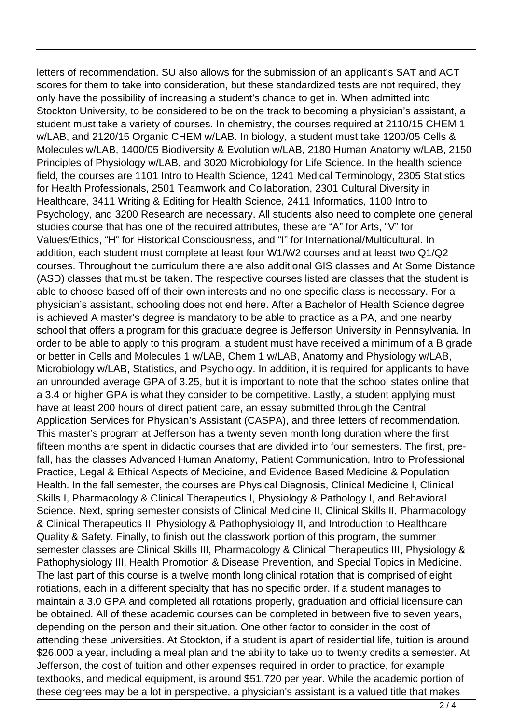letters of recommendation. SU also allows for the submission of an applicant's SAT and ACT scores for them to take into consideration, but these standardized tests are not required, they only have the possibility of increasing a student's chance to get in. When admitted into Stockton University, to be considered to be on the track to becoming a physician's assistant, a student must take a variety of courses. In chemistry, the courses required at 2110/15 CHEM 1 w/LAB, and 2120/15 Organic CHEM w/LAB. In biology, a student must take 1200/05 Cells & Molecules w/LAB, 1400/05 Biodiversity & Evolution w/LAB, 2180 Human Anatomy w/LAB, 2150 Principles of Physiology w/LAB, and 3020 Microbiology for Life Science. In the health science field, the courses are 1101 Intro to Health Science, 1241 Medical Terminology, 2305 Statistics for Health Professionals, 2501 Teamwork and Collaboration, 2301 Cultural Diversity in Healthcare, 3411 Writing & Editing for Health Science, 2411 Informatics, 1100 Intro to Psychology, and 3200 Research are necessary. All students also need to complete one general studies course that has one of the required attributes, these are "A" for Arts, "V" for Values/Ethics, "H" for Historical Consciousness, and "I" for International/Multicultural. In addition, each student must complete at least four W1/W2 courses and at least two Q1/Q2 courses. Throughout the curriculum there are also additional GIS classes and At Some Distance (ASD) classes that must be taken. The respective courses listed are classes that the student is able to choose based off of their own interests and no one specific class is necessary. For a physician's assistant, schooling does not end here. After a Bachelor of Health Science degree is achieved A master's degree is mandatory to be able to practice as a PA, and one nearby school that offers a program for this graduate degree is Jefferson University in Pennsylvania. In order to be able to apply to this program, a student must have received a minimum of a B grade or better in Cells and Molecules 1 w/LAB, Chem 1 w/LAB, Anatomy and Physiology w/LAB, Microbiology w/LAB, Statistics, and Psychology. In addition, it is required for applicants to have an unrounded average GPA of 3.25, but it is important to note that the school states online that a 3.4 or higher GPA is what they consider to be competitive. Lastly, a student applying must have at least 200 hours of direct patient care, an essay submitted through the Central Application Services for Physican's Assistant (CASPA), and three letters of recommendation. This master's program at Jefferson has a twenty seven month long duration where the first fifteen months are spent in didactic courses that are divided into four semesters. The first, prefall, has the classes Advanced Human Anatomy, Patient Communication, Intro to Professional Practice, Legal & Ethical Aspects of Medicine, and Evidence Based Medicine & Population Health. In the fall semester, the courses are Physical Diagnosis, Clinical Medicine I, Clinical Skills I, Pharmacology & Clinical Therapeutics I, Physiology & Pathology I, and Behavioral Science. Next, spring semester consists of Clinical Medicine II, Clinical Skills II, Pharmacology & Clinical Therapeutics II, Physiology & Pathophysiology II, and Introduction to Healthcare Quality & Safety. Finally, to finish out the classwork portion of this program, the summer semester classes are Clinical Skills III, Pharmacology & Clinical Therapeutics III, Physiology & Pathophysiology III, Health Promotion & Disease Prevention, and Special Topics in Medicine. The last part of this course is a twelve month long clinical rotation that is comprised of eight rotiations, each in a different specialty that has no specific order. If a student manages to maintain a 3.0 GPA and completed all rotations properly, graduation and official licensure can be obtained. All of these academic courses can be completed in between five to seven years, depending on the person and their situation. One other factor to consider in the cost of attending these universities. At Stockton, if a student is apart of residential life, tuition is around \$26,000 a year, including a meal plan and the ability to take up to twenty credits a semester. At Jefferson, the cost of tuition and other expenses required in order to practice, for example textbooks, and medical equipment, is around \$51,720 per year. While the academic portion of these degrees may be a lot in perspective, a physician's assistant is a valued title that makes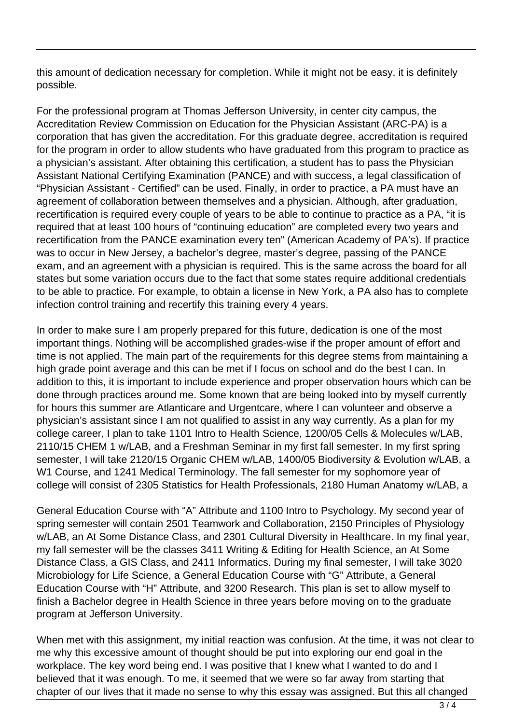this amount of dedication necessary for completion. While it might not be easy, it is definitely possible.

For the professional program at Thomas Jefferson University, in center city campus, the Accreditation Review Commission on Education for the Physician Assistant (ARC-PA) is a corporation that has given the accreditation. For this graduate degree, accreditation is required for the program in order to allow students who have graduated from this program to practice as a physician's assistant. After obtaining this certification, a student has to pass the Physician Assistant National Certifying Examination (PANCE) and with success, a legal classification of "Physician Assistant - Certified" can be used. Finally, in order to practice, a PA must have an agreement of collaboration between themselves and a physician. Although, after graduation, recertification is required every couple of years to be able to continue to practice as a PA, "it is required that at least 100 hours of "continuing education" are completed every two years and recertification from the PANCE examination every ten" (American Academy of PA's). If practice was to occur in New Jersey, a bachelor's degree, master's degree, passing of the PANCE exam, and an agreement with a physician is required. This is the same across the board for all states but some variation occurs due to the fact that some states require additional credentials to be able to practice. For example, to obtain a license in New York, a PA also has to complete infection control training and recertify this training every 4 years.

In order to make sure I am properly prepared for this future, dedication is one of the most important things. Nothing will be accomplished grades-wise if the proper amount of effort and time is not applied. The main part of the requirements for this degree stems from maintaining a high grade point average and this can be met if I focus on school and do the best I can. In addition to this, it is important to include experience and proper observation hours which can be done through practices around me. Some known that are being looked into by myself currently for hours this summer are Atlanticare and Urgentcare, where I can volunteer and observe a physician's assistant since I am not qualified to assist in any way currently. As a plan for my college career, I plan to take 1101 Intro to Health Science, 1200/05 Cells & Molecules w/LAB, 2110/15 CHEM 1 w/LAB, and a Freshman Seminar in my first fall semester. In my first spring semester, I will take 2120/15 Organic CHEM w/LAB, 1400/05 Biodiversity & Evolution w/LAB, a W1 Course, and 1241 Medical Terminology. The fall semester for my sophomore year of college will consist of 2305 Statistics for Health Professionals, 2180 Human Anatomy w/LAB, a

General Education Course with "A" Attribute and 1100 Intro to Psychology. My second year of spring semester will contain 2501 Teamwork and Collaboration, 2150 Principles of Physiology w/LAB, an At Some Distance Class, and 2301 Cultural Diversity in Healthcare. In my final year, my fall semester will be the classes 3411 Writing & Editing for Health Science, an At Some Distance Class, a GIS Class, and 2411 Informatics. During my final semester, I will take 3020 Microbiology for Life Science, a General Education Course with "G" Attribute, a General Education Course with "H" Attribute, and 3200 Research. This plan is set to allow myself to finish a Bachelor degree in Health Science in three years before moving on to the graduate program at Jefferson University.

When met with this assignment, my initial reaction was confusion. At the time, it was not clear to me why this excessive amount of thought should be put into exploring our end goal in the workplace. The key word being end. I was positive that I knew what I wanted to do and I believed that it was enough. To me, it seemed that we were so far away from starting that chapter of our lives that it made no sense to why this essay was assigned. But this all changed